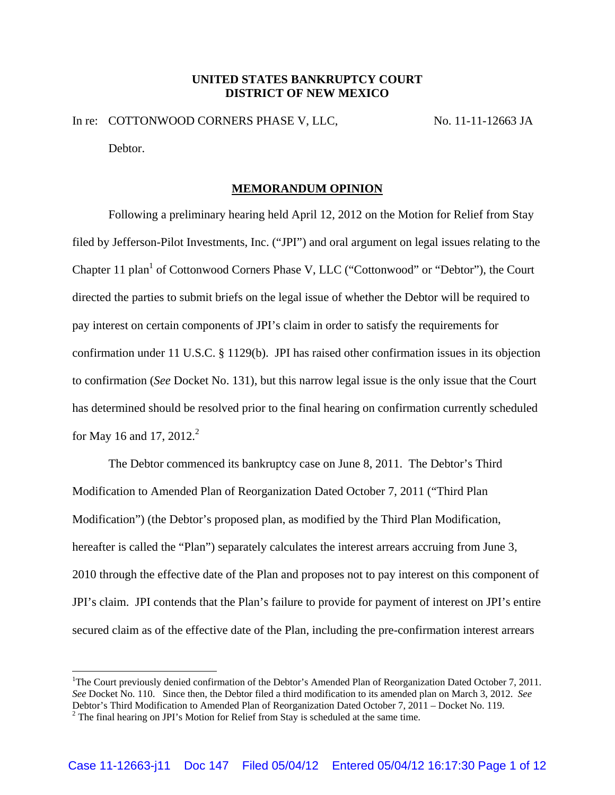# **UNITED STATES BANKRUPTCY COURT DISTRICT OF NEW MEXICO**

In re: COTTONWOOD CORNERS PHASE V, LLC, No. 11-11-12663 JA Debtor.

### **MEMORANDUM OPINION**

Following a preliminary hearing held April 12, 2012 on the Motion for Relief from Stay filed by Jefferson-Pilot Investments, Inc. ("JPI") and oral argument on legal issues relating to the Chapter 11 plan<sup>1</sup> of Cottonwood Corners Phase V, LLC ("Cottonwood" or "Debtor"), the Court directed the parties to submit briefs on the legal issue of whether the Debtor will be required to pay interest on certain components of JPI's claim in order to satisfy the requirements for confirmation under 11 U.S.C. § 1129(b). JPI has raised other confirmation issues in its objection to confirmation (*See* Docket No. 131), but this narrow legal issue is the only issue that the Court has determined should be resolved prior to the final hearing on confirmation currently scheduled for May 16 and 17, 2012.<sup>2</sup>

 The Debtor commenced its bankruptcy case on June 8, 2011. The Debtor's Third Modification to Amended Plan of Reorganization Dated October 7, 2011 ("Third Plan Modification") (the Debtor's proposed plan, as modified by the Third Plan Modification, hereafter is called the "Plan") separately calculates the interest arrears accruing from June 3, 2010 through the effective date of the Plan and proposes not to pay interest on this component of JPI's claim. JPI contends that the Plan's failure to provide for payment of interest on JPI's entire secured claim as of the effective date of the Plan, including the pre-confirmation interest arrears

<sup>&</sup>lt;sup>1</sup>The Court previously denied confirmation of the Debtor's Amended Plan of Reorganization Dated October 7, 2011. *See* Docket No. 110. Since then, the Debtor filed a third modification to its amended plan on March 3, 2012. *See*  Debtor's Third Modification to Amended Plan of Reorganization Dated October 7, 2011 *–* Docket No. 119. 2

 $2$  The final hearing on JPI's Motion for Relief from Stay is scheduled at the same time.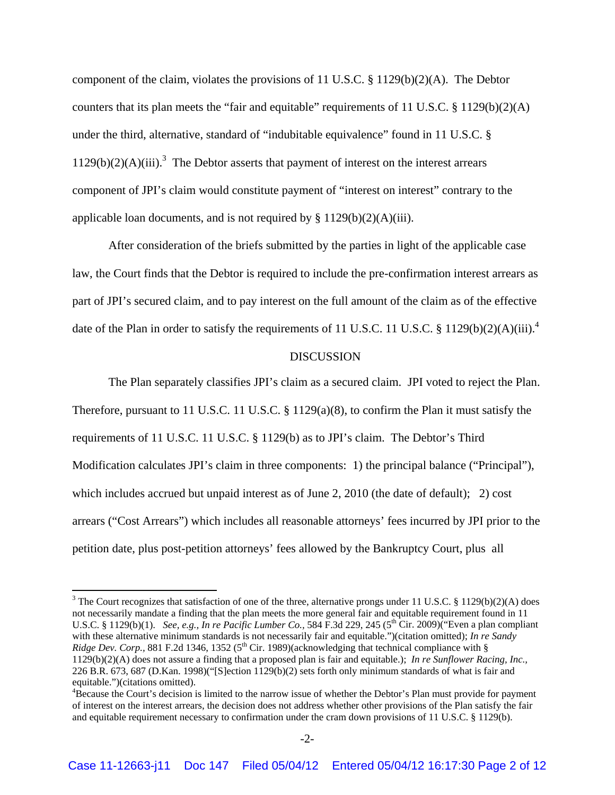component of the claim, violates the provisions of 11 U.S.C.  $\S$  1129(b)(2)(A). The Debtor counters that its plan meets the "fair and equitable" requirements of 11 U.S.C. § 1129(b)(2)(A) under the third, alternative, standard of "indubitable equivalence" found in 11 U.S.C. §  $1129(b)(2)(A)(iii).$ <sup>3</sup> The Debtor asserts that payment of interest on the interest arrears component of JPI's claim would constitute payment of "interest on interest" contrary to the applicable loan documents, and is not required by  $\S 1129(b)(2)(A)(iii)$ .

 After consideration of the briefs submitted by the parties in light of the applicable case law, the Court finds that the Debtor is required to include the pre-confirmation interest arrears as part of JPI's secured claim, and to pay interest on the full amount of the claim as of the effective date of the Plan in order to satisfy the requirements of 11 U.S.C. 11 U.S.C.  $\S 1129(b)(2)(A)(iii).$ <sup>4</sup>

### **DISCUSSION**

The Plan separately classifies JPI's claim as a secured claim. JPI voted to reject the Plan. Therefore, pursuant to 11 U.S.C. 11 U.S.C. § 1129(a)(8), to confirm the Plan it must satisfy the requirements of 11 U.S.C. 11 U.S.C. § 1129(b) as to JPI's claim. The Debtor's Third Modification calculates JPI's claim in three components: 1) the principal balance ("Principal"), which includes accrued but unpaid interest as of June 2, 2010 (the date of default); 2) cost arrears ("Cost Arrears") which includes all reasonable attorneys' fees incurred by JPI prior to the petition date, plus post-petition attorneys' fees allowed by the Bankruptcy Court, plus all

<sup>&</sup>lt;sup>3</sup> The Court recognizes that satisfaction of one of the three, alternative prongs under 11 U.S.C. § 1129(b)(2)(A) does not necessarily mandate a finding that the plan meets the more general fair and equitable requirement found in 11 U.S.C. § 1129(b)(1). *See, e.g., In re Pacific Lumber Co.,* 584 F.3d 229, 245 (5<sup>th</sup> Cir. 2009)("Even a plan compliant with these alternative minimum standards is not necessarily fair and equitable.")(citation omitted); *In re Sandy Ridge Dev. Corp.*, 881 F.2d 1346, 1352 (5<sup>th</sup> Cir. 1989)(acknowledging that technical compliance with § 1129(b)(2)(A) does not assure a finding that a proposed plan is fair and equitable.); *In re Sunflower Racing, Inc.,*  226 B.R. 673, 687 (D.Kan. 1998)("[S]ection 1129(b)(2) sets forth only minimum standards of what is fair and equitable.")(citations omitted).

<sup>&</sup>lt;sup>4</sup>Because the Court's decision is limited to the narrow issue of whether the Debtor's Plan must provide for payment of interest on the interest arrears, the decision does not address whether other provisions of the Plan satisfy the fair and equitable requirement necessary to confirmation under the cram down provisions of 11 U.S.C. § 1129(b).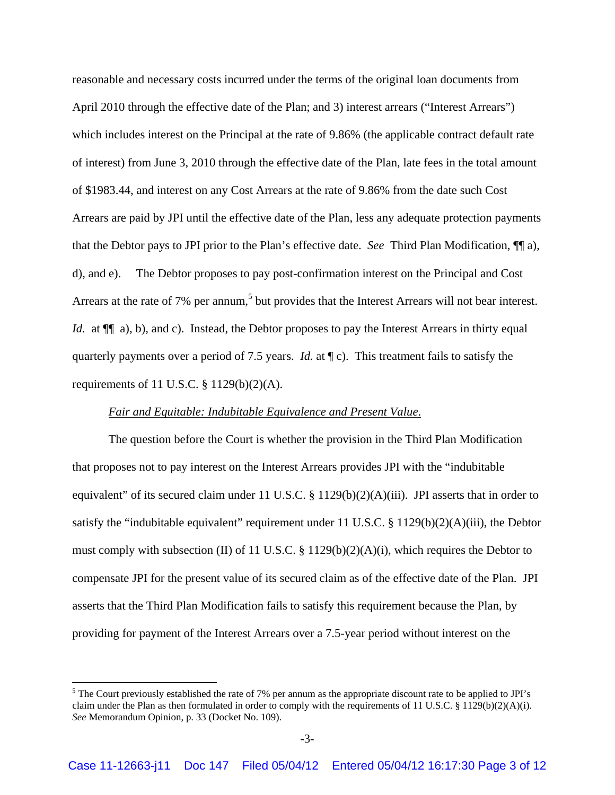reasonable and necessary costs incurred under the terms of the original loan documents from April 2010 through the effective date of the Plan; and 3) interest arrears ("Interest Arrears") which includes interest on the Principal at the rate of 9.86% (the applicable contract default rate of interest) from June 3, 2010 through the effective date of the Plan, late fees in the total amount of \$1983.44, and interest on any Cost Arrears at the rate of 9.86% from the date such Cost Arrears are paid by JPI until the effective date of the Plan, less any adequate protection payments that the Debtor pays to JPI prior to the Plan's effective date. *See* Third Plan Modification, ¶¶ a), d), and e). The Debtor proposes to pay post-confirmation interest on the Principal and Cost Arrears at the rate of 7% per annum,<sup>5</sup> but provides that the Interest Arrears will not bear interest. *Id.* at  $\P$  a), b), and c). Instead, the Debtor proposes to pay the Interest Arrears in thirty equal quarterly payments over a period of 7.5 years. *Id.* at ¶ c). This treatment fails to satisfy the requirements of 11 U.S.C.  $\S$  1129(b)(2)(A).

# *Fair and Equitable: Indubitable Equivalence and Present Value*.

The question before the Court is whether the provision in the Third Plan Modification that proposes not to pay interest on the Interest Arrears provides JPI with the "indubitable equivalent" of its secured claim under 11 U.S.C.  $\S$  1129(b)(2)(A)(iii). JPI asserts that in order to satisfy the "indubitable equivalent" requirement under 11 U.S.C. § 1129(b)(2)(A)(iii), the Debtor must comply with subsection (II) of 11 U.S.C. § 1129(b)(2)(A)(i), which requires the Debtor to compensate JPI for the present value of its secured claim as of the effective date of the Plan. JPI asserts that the Third Plan Modification fails to satisfy this requirement because the Plan, by providing for payment of the Interest Arrears over a 7.5-year period without interest on the

 $<sup>5</sup>$  The Court previously established the rate of 7% per annum as the appropriate discount rate to be applied to JPI's</sup> claim under the Plan as then formulated in order to comply with the requirements of 11 U.S.C. § 1129(b)(2)(A)(i). *See* Memorandum Opinion, p. 33 (Docket No. 109).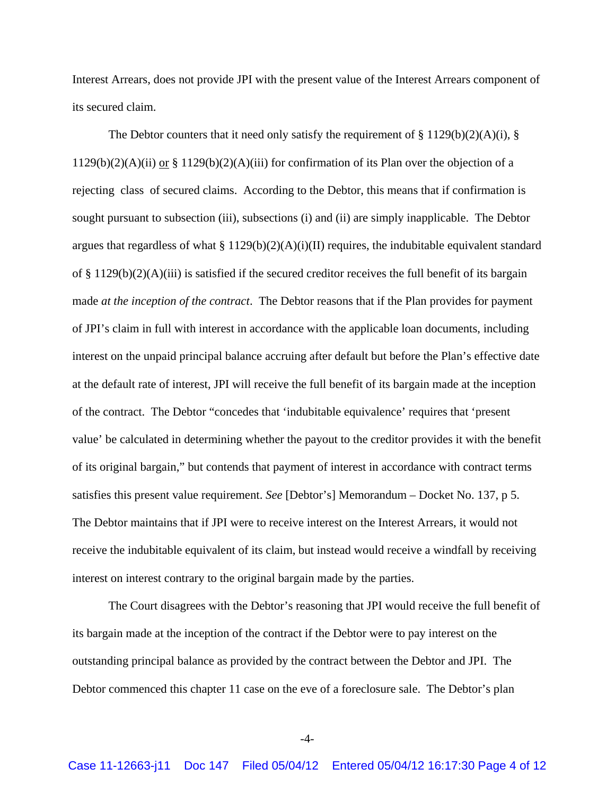Interest Arrears, does not provide JPI with the present value of the Interest Arrears component of its secured claim.

The Debtor counters that it need only satisfy the requirement of  $\S 1129(b)(2)(A)(i)$ ,  $\S$  $1129(b)(2)(A)(ii)$  or §  $1129(b)(2)(A)(iii)$  for confirmation of its Plan over the objection of a rejecting class of secured claims. According to the Debtor, this means that if confirmation is sought pursuant to subsection (iii), subsections (i) and (ii) are simply inapplicable. The Debtor argues that regardless of what  $\S 1129(b)(2)(A)(i)(II)$  requires, the indubitable equivalent standard of § 1129(b)(2)(A)(iii) is satisfied if the secured creditor receives the full benefit of its bargain made *at the inception of the contract*. The Debtor reasons that if the Plan provides for payment of JPI's claim in full with interest in accordance with the applicable loan documents, including interest on the unpaid principal balance accruing after default but before the Plan's effective date at the default rate of interest, JPI will receive the full benefit of its bargain made at the inception of the contract. The Debtor "concedes that 'indubitable equivalence' requires that 'present value' be calculated in determining whether the payout to the creditor provides it with the benefit of its original bargain," but contends that payment of interest in accordance with contract terms satisfies this present value requirement. *See* [Debtor's] Memorandum – Docket No. 137, p 5. The Debtor maintains that if JPI were to receive interest on the Interest Arrears, it would not receive the indubitable equivalent of its claim, but instead would receive a windfall by receiving interest on interest contrary to the original bargain made by the parties.

The Court disagrees with the Debtor's reasoning that JPI would receive the full benefit of its bargain made at the inception of the contract if the Debtor were to pay interest on the outstanding principal balance as provided by the contract between the Debtor and JPI. The Debtor commenced this chapter 11 case on the eve of a foreclosure sale. The Debtor's plan

-4-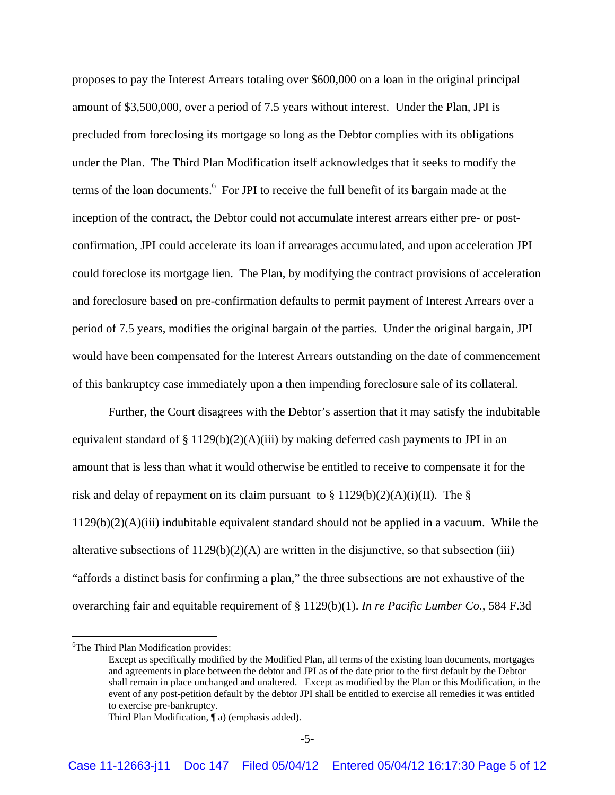proposes to pay the Interest Arrears totaling over \$600,000 on a loan in the original principal amount of \$3,500,000, over a period of 7.5 years without interest. Under the Plan, JPI is precluded from foreclosing its mortgage so long as the Debtor complies with its obligations under the Plan. The Third Plan Modification itself acknowledges that it seeks to modify the terms of the loan documents.<sup>6</sup> For JPI to receive the full benefit of its bargain made at the inception of the contract, the Debtor could not accumulate interest arrears either pre- or postconfirmation, JPI could accelerate its loan if arrearages accumulated, and upon acceleration JPI could foreclose its mortgage lien. The Plan, by modifying the contract provisions of acceleration and foreclosure based on pre-confirmation defaults to permit payment of Interest Arrears over a period of 7.5 years, modifies the original bargain of the parties. Under the original bargain, JPI would have been compensated for the Interest Arrears outstanding on the date of commencement of this bankruptcy case immediately upon a then impending foreclosure sale of its collateral.

Further, the Court disagrees with the Debtor's assertion that it may satisfy the indubitable equivalent standard of  $\S 1129(b)(2)(A)(iii)$  by making deferred cash payments to JPI in an amount that is less than what it would otherwise be entitled to receive to compensate it for the risk and delay of repayment on its claim pursuant to  $\S 1129(b)(2)(A)(i)(II)$ . The  $\S$  $1129(b)(2)(A)(iii)$  indubitable equivalent standard should not be applied in a vacuum. While the alterative subsections of  $1129(b)(2)(A)$  are written in the disjunctive, so that subsection (iii) "affords a distinct basis for confirming a plan," the three subsections are not exhaustive of the overarching fair and equitable requirement of § 1129(b)(1). *In re Pacific Lumber Co.,* 584 F.3d

 6 The Third Plan Modification provides:

Except as specifically modified by the Modified Plan, all terms of the existing loan documents, mortgages and agreements in place between the debtor and JPI as of the date prior to the first default by the Debtor shall remain in place unchanged and unaltered. Except as modified by the Plan or this Modification, in the event of any post-petition default by the debtor JPI shall be entitled to exercise all remedies it was entitled to exercise pre-bankruptcy.

Third Plan Modification, ¶ a) (emphasis added).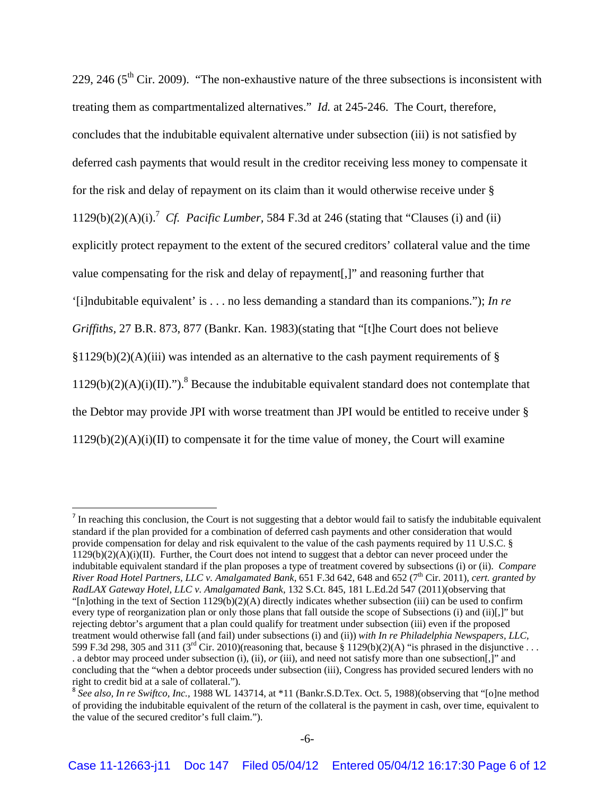229, 246 ( $5<sup>th</sup>$  Cir. 2009). "The non-exhaustive nature of the three subsections is inconsistent with treating them as compartmentalized alternatives." *Id.* at 245-246. The Court, therefore, concludes that the indubitable equivalent alternative under subsection (iii) is not satisfied by deferred cash payments that would result in the creditor receiving less money to compensate it for the risk and delay of repayment on its claim than it would otherwise receive under §  $1129(b)(2)(A)(i).$ <sup>7</sup> *Cf. Pacific Lumber*, 584 F.3d at 246 (stating that "Clauses (i) and (ii) explicitly protect repayment to the extent of the secured creditors' collateral value and the time value compensating for the risk and delay of repayment[,]" and reasoning further that '[i]ndubitable equivalent' is . . . no less demanding a standard than its companions."); *In re Griffiths,* 27 B.R. 873, 877 (Bankr. Kan. 1983)(stating that "[t]he Court does not believe  $$1129(b)(2)(A)(iii)$  was intended as an alternative to the cash payment requirements of §  $1129(b)(2)(A)(i)(II)$ .").<sup>8</sup> Because the indubitable equivalent standard does not contemplate that the Debtor may provide JPI with worse treatment than JPI would be entitled to receive under §  $1129(b)(2)(A)(i)(II)$  to compensate it for the time value of money, the Court will examine

 $<sup>7</sup>$  In reaching this conclusion, the Court is not suggesting that a debtor would fail to satisfy the indubitable equivalent</sup> standard if the plan provided for a combination of deferred cash payments and other consideration that would provide compensation for delay and risk equivalent to the value of the cash payments required by 11 U.S.C. § 1129(b)(2)(A)(i)(II). Further, the Court does not intend to suggest that a debtor can never proceed under the indubitable equivalent standard if the plan proposes a type of treatment covered by subsections (i) or (ii). *Compare River Road Hotel Partners, LLC v. Amalgamated Bank,* 651 F.3d 642, 648 and 652 (7th Cir. 2011), *cert. granted by RadLAX Gateway Hotel, LLC v. Amalgamated Bank,* 132 S.Ct. 845, 181 L.Ed.2d 547 (2011)(observing that "[n]othing in the text of Section  $1129(b)(2)(A)$  directly indicates whether subsection (iii) can be used to confirm every type of reorganization plan or only those plans that fall outside the scope of Subsections (i) and (ii)[,]" but rejecting debtor's argument that a plan could qualify for treatment under subsection (iii) even if the proposed treatment would otherwise fall (and fail) under subsections (i) and (ii)) *with In re Philadelphia Newspapers, LLC,*  599 F.3d 298, 305 and 311 (3<sup>rd</sup> Cir. 2010)(reasoning that, because § 1129(b)(2)(A) "is phrased in the disjunctive ... . a debtor may proceed under subsection (i), (ii), *or* (iii), and need not satisfy more than one subsection[,]" and concluding that the "when a debtor proceeds under subsection (iii), Congress has provided secured lenders with no right to credit bid at a sale of collateral.").

<sup>&</sup>lt;sup>8</sup> See also, In re Swiftco, Inc., 1988 WL 143714, at \*11 (Bankr.S.D.Tex. Oct. 5, 1988)(observing that "[o]ne method of providing the indubitable equivalent of the return of the collateral is the payment in cash, over time, equivalent to the value of the secured creditor's full claim.").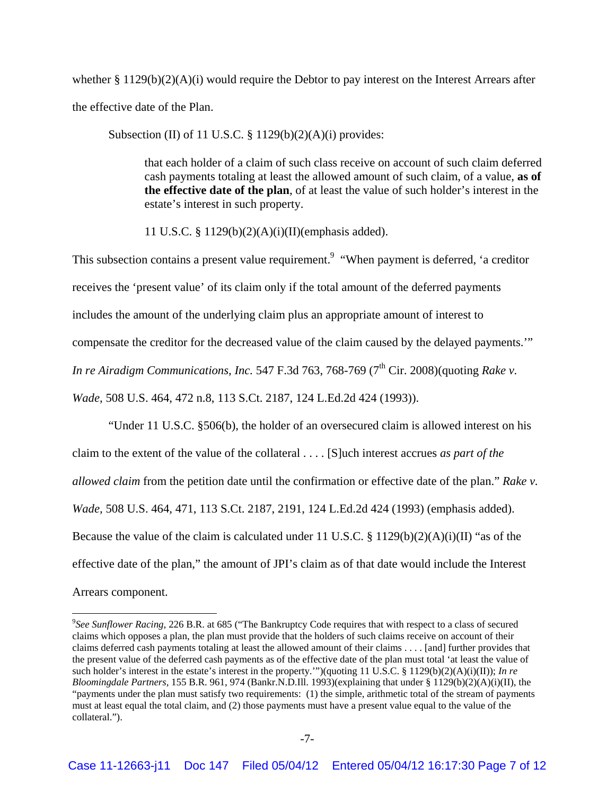whether § 1129(b)(2)(A)(i) would require the Debtor to pay interest on the Interest Arrears after the effective date of the Plan.

Subsection (II) of 11 U.S.C.  $\S$  1129(b)(2)(A)(i) provides:

that each holder of a claim of such class receive on account of such claim deferred cash payments totaling at least the allowed amount of such claim, of a value, **as of the effective date of the plan**, of at least the value of such holder's interest in the estate's interest in such property.

11 U.S.C. § 1129(b)(2)(A)(i)(II)(emphasis added).

This subsection contains a present value requirement.<sup>9</sup> "When payment is deferred, 'a creditor receives the 'present value' of its claim only if the total amount of the deferred payments includes the amount of the underlying claim plus an appropriate amount of interest to compensate the creditor for the decreased value of the claim caused by the delayed payments.'" *In re Airadigm Communications, Inc.* 547 F.3d 763, 768-769 (7<sup>th</sup> Cir. 2008)(quoting *Rake v. Wade,* 508 U.S. 464, 472 n.8, 113 S.Ct. 2187, 124 L.Ed.2d 424 (1993)).

 "Under 11 U.S.C. §506(b), the holder of an oversecured claim is allowed interest on his claim to the extent of the value of the collateral . . . . [S]uch interest accrues *as part of the allowed claim* from the petition date until the confirmation or effective date of the plan." *Rake v. Wade,* 508 U.S. 464, 471, 113 S.Ct. 2187, 2191, 124 L.Ed.2d 424 (1993) (emphasis added). Because the value of the claim is calculated under 11 U.S.C.  $\S 1129(b)(2)(A)(i)(II)$  "as of the effective date of the plan," the amount of JPI's claim as of that date would include the Interest Arrears component.

<sup>9</sup> *See Sunflower Racing,* 226 B.R. at 685 ("The Bankruptcy Code requires that with respect to a class of secured claims which opposes a plan, the plan must provide that the holders of such claims receive on account of their claims deferred cash payments totaling at least the allowed amount of their claims . . . . [and] further provides that the present value of the deferred cash payments as of the effective date of the plan must total 'at least the value of such holder's interest in the estate's interest in the property.'")(quoting 11 U.S.C. § 1129(b)(2)(A)(i)(II)); *In re Bloomingdale Partners,* 155 B.R. 961, 974 (Bankr.N.D.Ill. 1993)(explaining that under § 1129(b)(2)(A)(i)(II), the "payments under the plan must satisfy two requirements: (1) the simple, arithmetic total of the stream of payments must at least equal the total claim, and (2) those payments must have a present value equal to the value of the collateral.").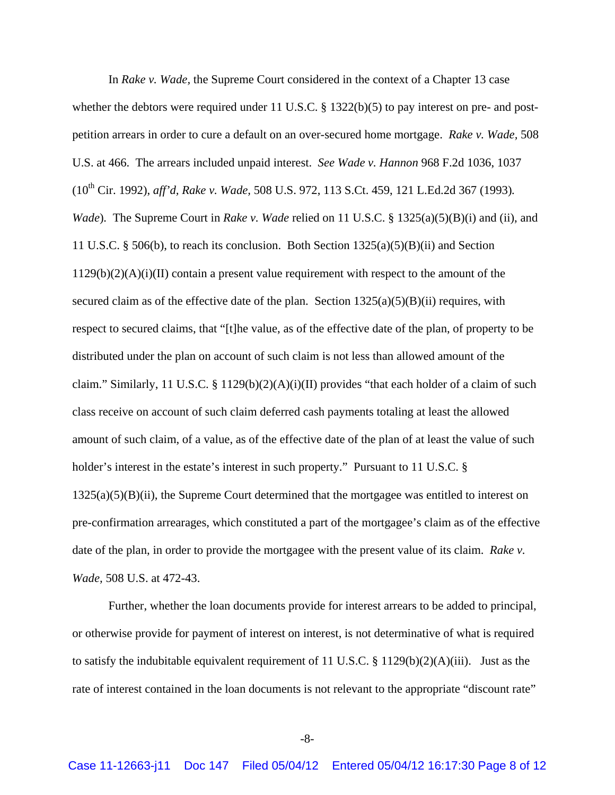In *Rake v. Wade,* the Supreme Court considered in the context of a Chapter 13 case whether the debtors were required under 11 U.S.C. § 1322(b)(5) to pay interest on pre- and postpetition arrears in order to cure a default on an over-secured home mortgage. *Rake v. Wade,* 508 U.S. at 466. The arrears included unpaid interest. *See Wade v. Hannon* 968 F.2d 1036, 1037 (10th Cir. 1992), *aff'd, Rake v. Wade,* 508 U.S. 972, 113 S.Ct. 459, 121 L.Ed.2d 367 (1993)*. Wade*). The Supreme Court in *Rake v. Wade* relied on 11 U.S.C. § 1325(a)(5)(B)(i) and (ii), and 11 U.S.C. § 506(b), to reach its conclusion. Both Section  $1325(a)(5)(B)(ii)$  and Section  $1129(b)(2)(A)(i)(II)$  contain a present value requirement with respect to the amount of the secured claim as of the effective date of the plan. Section  $1325(a)(5)(B)(ii)$  requires, with respect to secured claims, that "[t]he value, as of the effective date of the plan, of property to be distributed under the plan on account of such claim is not less than allowed amount of the claim." Similarly, 11 U.S.C. § 1129(b)(2)(A)(i)(II) provides "that each holder of a claim of such class receive on account of such claim deferred cash payments totaling at least the allowed amount of such claim, of a value, as of the effective date of the plan of at least the value of such holder's interest in the estate's interest in such property." Pursuant to 11 U.S.C. §  $1325(a)(5)(B)(ii)$ , the Supreme Court determined that the mortgagee was entitled to interest on pre-confirmation arrearages, which constituted a part of the mortgagee's claim as of the effective date of the plan, in order to provide the mortgagee with the present value of its claim. *Rake v. Wade,* 508 U.S. at 472-43.

Further, whether the loan documents provide for interest arrears to be added to principal, or otherwise provide for payment of interest on interest, is not determinative of what is required to satisfy the indubitable equivalent requirement of 11 U.S.C.  $\S$  1129(b)(2)(A)(iii). Just as the rate of interest contained in the loan documents is not relevant to the appropriate "discount rate"

-8-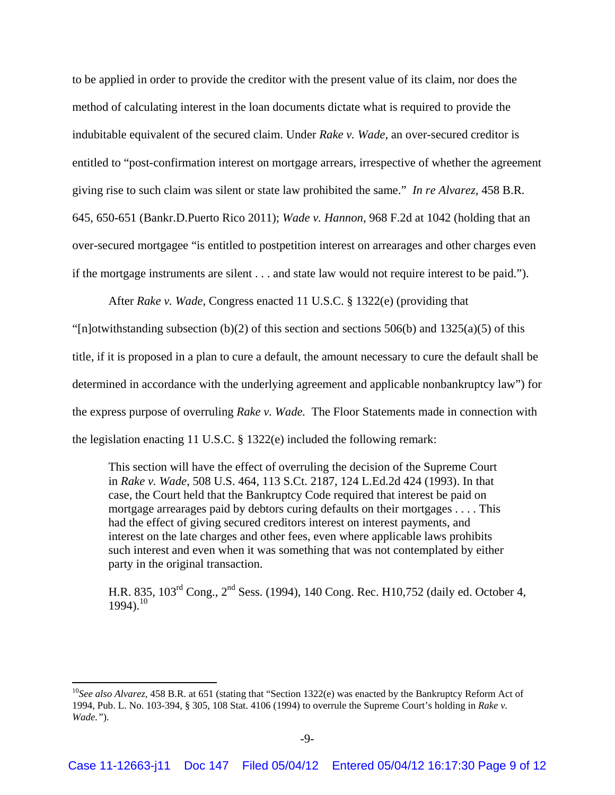to be applied in order to provide the creditor with the present value of its claim, nor does the method of calculating interest in the loan documents dictate what is required to provide the indubitable equivalent of the secured claim. Under *Rake v. Wade,* an over-secured creditor is entitled to "post-confirmation interest on mortgage arrears, irrespective of whether the agreement giving rise to such claim was silent or state law prohibited the same." *In re Alvarez,* 458 B.R. 645, 650-651 (Bankr.D.Puerto Rico 2011); *Wade v. Hannon,* 968 F.2d at 1042 (holding that an over-secured mortgagee "is entitled to postpetition interest on arrearages and other charges even if the mortgage instruments are silent . . . and state law would not require interest to be paid.").

After *Rake v. Wade*, Congress enacted 11 U.S.C. § 1322(e) (providing that

"[n]otwithstanding subsection (b)(2) of this section and sections  $506(b)$  and  $1325(a)(5)$  of this title, if it is proposed in a plan to cure a default, the amount necessary to cure the default shall be determined in accordance with the underlying agreement and applicable nonbankruptcy law") for the express purpose of overruling *Rake v. Wade.* The Floor Statements made in connection with the legislation enacting 11 U.S.C. § 1322(e) included the following remark:

This section will have the effect of overruling the decision of the Supreme Court in *Rake v. Wade*, 508 U.S. 464, 113 S.Ct. 2187, 124 L.Ed.2d 424 (1993). In that case, the Court held that the Bankruptcy Code required that interest be paid on mortgage arrearages paid by debtors curing defaults on their mortgages . . . . This had the effect of giving secured creditors interest on interest payments, and interest on the late charges and other fees, even where applicable laws prohibits such interest and even when it was something that was not contemplated by either party in the original transaction.

H.R. 835, 103rd Cong., 2nd Sess. (1994), 140 Cong. Rec. H10,752 (daily ed. October 4,  $1994$ ).<sup>10</sup>

<sup>&</sup>lt;sup>10</sup>See also Alvarez, 458 B.R. at 651 (stating that "Section 1322(e) was enacted by the Bankruptcy Reform Act of 1994, Pub. L. No. 103-394, § 305, 108 Stat. 4106 (1994) to overrule the Supreme Court's holding in *Rake v. Wade."*).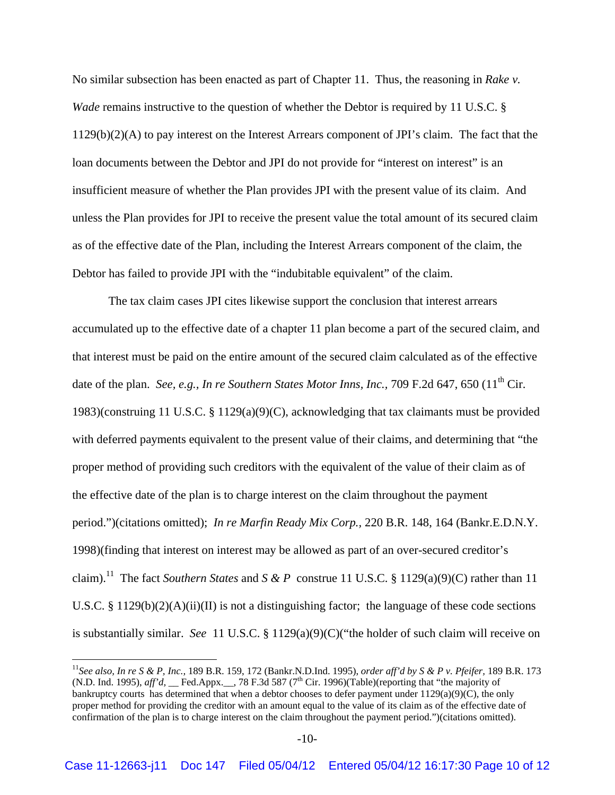No similar subsection has been enacted as part of Chapter 11. Thus, the reasoning in *Rake v. Wade* remains instructive to the question of whether the Debtor is required by 11 U.S.C. § 1129(b)(2)(A) to pay interest on the Interest Arrears component of JPI's claim. The fact that the loan documents between the Debtor and JPI do not provide for "interest on interest" is an insufficient measure of whether the Plan provides JPI with the present value of its claim. And unless the Plan provides for JPI to receive the present value the total amount of its secured claim as of the effective date of the Plan, including the Interest Arrears component of the claim, the Debtor has failed to provide JPI with the "indubitable equivalent" of the claim.

The tax claim cases JPI cites likewise support the conclusion that interest arrears accumulated up to the effective date of a chapter 11 plan become a part of the secured claim, and that interest must be paid on the entire amount of the secured claim calculated as of the effective date of the plan. *See, e.g., In re Southern States Motor Inns, Inc., 709 F.2d 647, 650 (11<sup>th</sup> Cir.* 1983)(construing 11 U.S.C. § 1129(a)(9)(C), acknowledging that tax claimants must be provided with deferred payments equivalent to the present value of their claims, and determining that "the proper method of providing such creditors with the equivalent of the value of their claim as of the effective date of the plan is to charge interest on the claim throughout the payment period.")(citations omitted); *In re Marfin Ready Mix Corp.,* 220 B.R. 148, 164 (Bankr.E.D.N.Y. 1998)(finding that interest on interest may be allowed as part of an over-secured creditor's claim).<sup>11</sup> The fact *Southern States* and *S & P* construe 11 U.S.C. § 1129(a)(9)(C) rather than 11 U.S.C. § 1129(b)(2)(A)(ii)(II) is not a distinguishing factor; the language of these code sections is substantially similar. *See* 11 U.S.C. § 1129(a)(9)(C)("the holder of such claim will receive on

<sup>11</sup>*See also, In re S & P, Inc.,* 189 B.R. 159, 172 (Bankr.N.D.Ind. 1995), *order aff'd by S & P v. Pfeifer,* 189 B.R. 173 (N.D. Ind. 1995),  $aff'd$ , Fed.Appx.<sub>1</sub>, 78 F.3d 587 (7<sup>th</sup> Cir. 1996)(Table)(reporting that "the majority of bankruptcy courts has determined that when a debtor chooses to defer payment under 1129(a)(9)(C), the only proper method for providing the creditor with an amount equal to the value of its claim as of the effective date of confirmation of the plan is to charge interest on the claim throughout the payment period.")(citations omitted).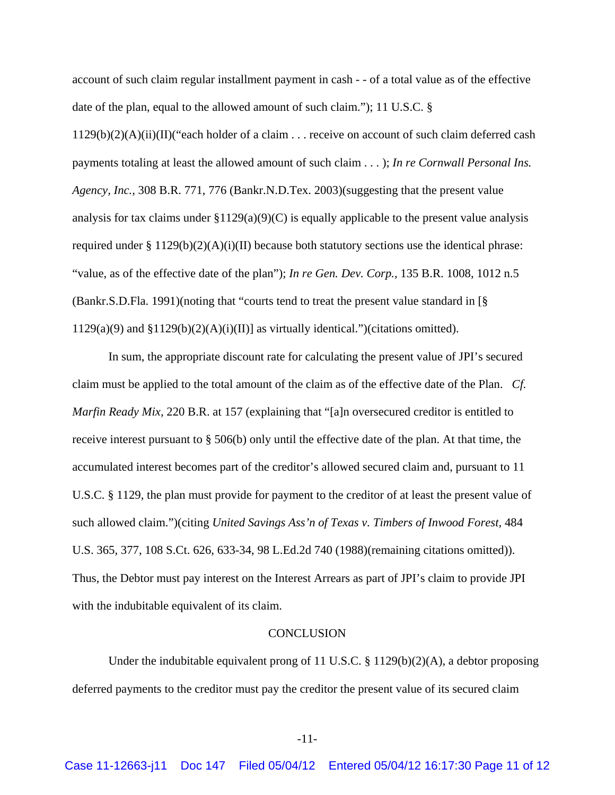account of such claim regular installment payment in cash - - of a total value as of the effective date of the plan, equal to the allowed amount of such claim."); 11 U.S.C. §

 $1129(b)(2)(A)(ii)(II)'$  each holder of a claim . . . receive on account of such claim deferred cash payments totaling at least the allowed amount of such claim . . . ); *In re Cornwall Personal Ins. Agency, Inc.,* 308 B.R. 771, 776 (Bankr.N.D.Tex. 2003)(suggesting that the present value analysis for tax claims under  $$1129(a)(9)(C)$  is equally applicable to the present value analysis required under § 1129(b)(2)(A)(i)(II) because both statutory sections use the identical phrase: "value, as of the effective date of the plan"); *In re Gen. Dev. Corp.,* 135 B.R. 1008, 1012 n.5 (Bankr.S.D.Fla. 1991)(noting that "courts tend to treat the present value standard in [§  $1129(a)(9)$  and  $$1129(b)(2)(A)(i)(II)]$  as virtually identical.")(citations omitted).

In sum, the appropriate discount rate for calculating the present value of JPI's secured claim must be applied to the total amount of the claim as of the effective date of the Plan. *Cf. Marfin Ready Mix,* 220 B.R. at 157 (explaining that "[a]n oversecured creditor is entitled to receive interest pursuant to § 506(b) only until the effective date of the plan. At that time, the accumulated interest becomes part of the creditor's allowed secured claim and, pursuant to 11 U.S.C. § 1129, the plan must provide for payment to the creditor of at least the present value of such allowed claim.")(citing *United Savings Ass'n of Texas v. Timbers of Inwood Forest*, 484 U.S. 365, 377, 108 S.Ct. 626, 633-34, 98 L.Ed.2d 740 (1988)(remaining citations omitted)). Thus, the Debtor must pay interest on the Interest Arrears as part of JPI's claim to provide JPI with the indubitable equivalent of its claim.

#### **CONCLUSION**

Under the indubitable equivalent prong of 11 U.S.C. § 1129(b)(2)(A), a debtor proposing deferred payments to the creditor must pay the creditor the present value of its secured claim

-11-